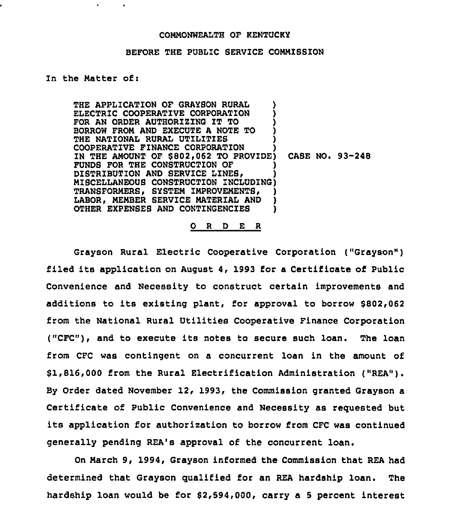## COMMONWEALTH OF KENTUCKY

## BEFORE THE PUBLIC SERVICE COMMISSION

## In the Matter of:

THE APPLICATION OF GRAYSON RURAL ELECTRIC COOPERATIVE CORPORATION FOR AN ORDER AUTHORIZING IT TO BORROW FROM AND EXECUTE <sup>A</sup> NOTE TO ) THE NATIONAL RURAL UTILITIES COOPERATIVE FINANCE CORPORATION } IN THE AMOUNT OF \$802,062 TO PROVIDE) CASE NO. 93-248 FUNDS FOR THE CONSTRUCTION OF DISTRIBUTION AND SERVICE LINES ) MISCELLANEOUS CONSTRUCTION ZNCLUDZNG) TRANSFORMERS, SYSTEM IMPROVEMENTS, LABOR, MEMBER SERVICE MATERIAL AND ) OTHER EXPENSES AND CONTINGENCIES )

0 <sup>R</sup> <sup>D</sup> E R

Grayson Rural Electric Cooperative Corporation ("Grayson" ) filed its application on August 4, 1993 for <sup>a</sup> Certificate of Public Convenience and Necessity to construct certain improvements and additions to its existing plant, for approval to borrow \$802,062 from the National Rural Utilities Cooperative Finance Corporation ("CFC"), and to execute its notes to secure such loan. The loan from CFC was contingent on a concurrent loan in the amount of \$1,816,000 from the Rural Electrification Administration ("REA"). By Order dated November 12, 1993, the Commission granted Grayson a Certificate of Public Convenience and Necessity as reguested but its application for authorization to borrow from CFC was continued generally pending REA's approval of the concurrent loan.

On March 9, 1994, Grayson informed the Commission that REA had determined that Grayson qualified for an REA hardship loan. The hardship loan would be for \$2,594,000, carry a <sup>5</sup> percent interest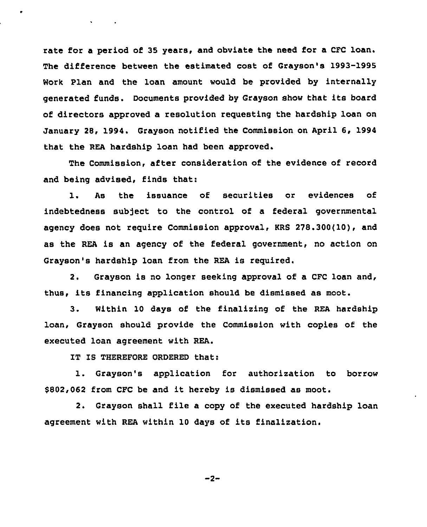rate for a period of 35 years, and obviate the need for a CFC loan. The difference between the estimated cost of Grayson's 1993-1995 Work Plan and the loan amount would be provided by internally generated funds. Documents provided by Grayson show that its board of directors approved a resolution requesting the hardship loan on January 28, 1994. Grayson notified the Commission on April 6, 1994 that the REA hardship loan had been approved.

The Commission, after consideration of the evidence of record and being advised, finds that:

l. As the issuance of securities or evidences of indebtedness subject to the control of a federal governmental agency does not require Commission approval, KRS 278.300{10), and as the REA is an agency of the federal government, no action on Grayson's hardship loan from the REA is required.

2. Grayson is no longer seeking approval of a CFC loan and, thus, its financing application should be dismissed as moot.

3. Within 10 days of the finalizing of the REA hardship loan, Grayson should provide the Commission with copies of the executed loan agreement with REA.

IT IS THEREFORE ORDERED that:

1. Grayson's application for authorization to borrow \$802,062 from CFC be and it hereby is dismissed as moot.

2. Grayson shall file a copy of the executed hardship loan agreement with REA within 10 days of its finalization.

 $-2-$